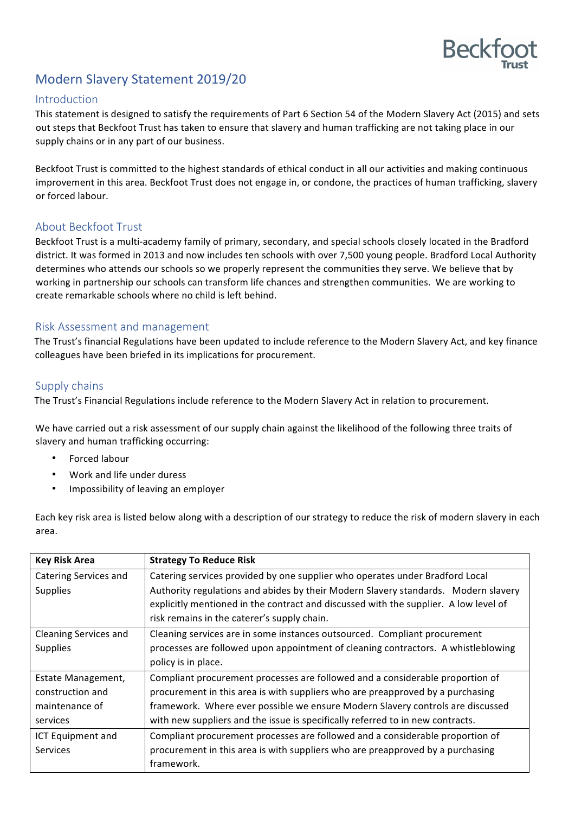

# Modern Slavery Statement 2019/20

### Introduction

This statement is designed to satisfy the requirements of Part 6 Section 54 of the Modern Slavery Act (2015) and sets out steps that Beckfoot Trust has taken to ensure that slavery and human trafficking are not taking place in our supply chains or in any part of our business.

Beckfoot Trust is committed to the highest standards of ethical conduct in all our activities and making continuous improvement in this area. Beckfoot Trust does not engage in, or condone, the practices of human trafficking, slavery or forced labour.

# About Beckfoot Trust

Beckfoot Trust is a multi-academy family of primary, secondary, and special schools closely located in the Bradford district. It was formed in 2013 and now includes ten schools with over 7,500 young people. Bradford Local Authority determines who attends our schools so we properly represent the communities they serve. We believe that by working in partnership our schools can transform life chances and strengthen communities. We are working to create remarkable schools where no child is left behind.

### Risk Assessment and management

The Trust's financial Regulations have been updated to include reference to the Modern Slavery Act, and key finance colleagues have been briefed in its implications for procurement.

# Supply chains

The Trust's Financial Regulations include reference to the Modern Slavery Act in relation to procurement.

We have carried out a risk assessment of our supply chain against the likelihood of the following three traits of slavery and human trafficking occurring:

- Forced labour
- Work and life under duress
- Impossibility of leaving an employer

| <b>Key Risk Area</b>  | <b>Strategy To Reduce Risk</b>                                                       |
|-----------------------|--------------------------------------------------------------------------------------|
| Catering Services and | Catering services provided by one supplier who operates under Bradford Local         |
| <b>Supplies</b>       | Authority regulations and abides by their Modern Slavery standards. Modern slavery   |
|                       | explicitly mentioned in the contract and discussed with the supplier. A low level of |
|                       | risk remains in the caterer's supply chain.                                          |
| Cleaning Services and | Cleaning services are in some instances outsourced. Compliant procurement            |
| <b>Supplies</b>       | processes are followed upon appointment of cleaning contractors. A whistleblowing    |
|                       | policy is in place.                                                                  |
| Estate Management,    | Compliant procurement processes are followed and a considerable proportion of        |
| construction and      | procurement in this area is with suppliers who are preapproved by a purchasing       |
| maintenance of        | framework. Where ever possible we ensure Modern Slavery controls are discussed       |
| services              | with new suppliers and the issue is specifically referred to in new contracts.       |
| ICT Equipment and     | Compliant procurement processes are followed and a considerable proportion of        |
| <b>Services</b>       | procurement in this area is with suppliers who are preapproved by a purchasing       |
|                       | framework.                                                                           |

Each key risk area is listed below along with a description of our strategy to reduce the risk of modern slavery in each area.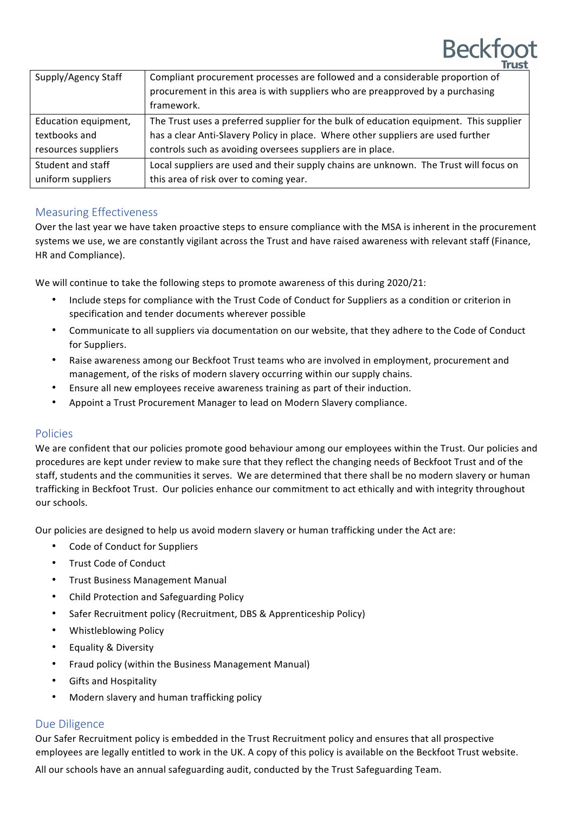| Supply/Agency Staff  | Compliant procurement processes are followed and a considerable proportion of<br>procurement in this area is with suppliers who are preapproved by a purchasing |
|----------------------|-----------------------------------------------------------------------------------------------------------------------------------------------------------------|
|                      | framework.                                                                                                                                                      |
| Education equipment, | The Trust uses a preferred supplier for the bulk of education equipment. This supplier                                                                          |
| textbooks and        | has a clear Anti-Slavery Policy in place. Where other suppliers are used further                                                                                |
| resources suppliers  | controls such as avoiding oversees suppliers are in place.                                                                                                      |
| Student and staff    | Local suppliers are used and their supply chains are unknown. The Trust will focus on                                                                           |
| uniform suppliers    | this area of risk over to coming year.                                                                                                                          |

# Measuring Effectiveness

Over the last year we have taken proactive steps to ensure compliance with the MSA is inherent in the procurement systems we use, we are constantly vigilant across the Trust and have raised awareness with relevant staff (Finance, HR and Compliance).

We will continue to take the following steps to promote awareness of this during 2020/21:

- Include steps for compliance with the Trust Code of Conduct for Suppliers as a condition or criterion in specification and tender documents wherever possible
- Communicate to all suppliers via documentation on our website, that they adhere to the Code of Conduct for Suppliers.
- Raise awareness among our Beckfoot Trust teams who are involved in employment, procurement and management, of the risks of modern slavery occurring within our supply chains.
- Ensure all new employees receive awareness training as part of their induction.
- Appoint a Trust Procurement Manager to lead on Modern Slavery compliance.

### Policies

We are confident that our policies promote good behaviour among our employees within the Trust. Our policies and procedures are kept under review to make sure that they reflect the changing needs of Beckfoot Trust and of the staff, students and the communities it serves. We are determined that there shall be no modern slavery or human trafficking in Beckfoot Trust. Our policies enhance our commitment to act ethically and with integrity throughout our schools.

Our policies are designed to help us avoid modern slavery or human trafficking under the Act are:

- Code of Conduct for Suppliers
- Trust Code of Conduct
- **Trust Business Management Manual**
- Child Protection and Safeguarding Policy
- Safer Recruitment policy (Recruitment, DBS & Apprenticeship Policy)
- Whistleblowing Policy
- Equality & Diversity
- Fraud policy (within the Business Management Manual)
- Gifts and Hospitality
- Modern slavery and human trafficking policy

# Due Diligence

Our Safer Recruitment policy is embedded in the Trust Recruitment policy and ensures that all prospective employees are legally entitled to work in the UK. A copy of this policy is available on the Beckfoot Trust website.

All our schools have an annual safeguarding audit, conducted by the Trust Safeguarding Team.